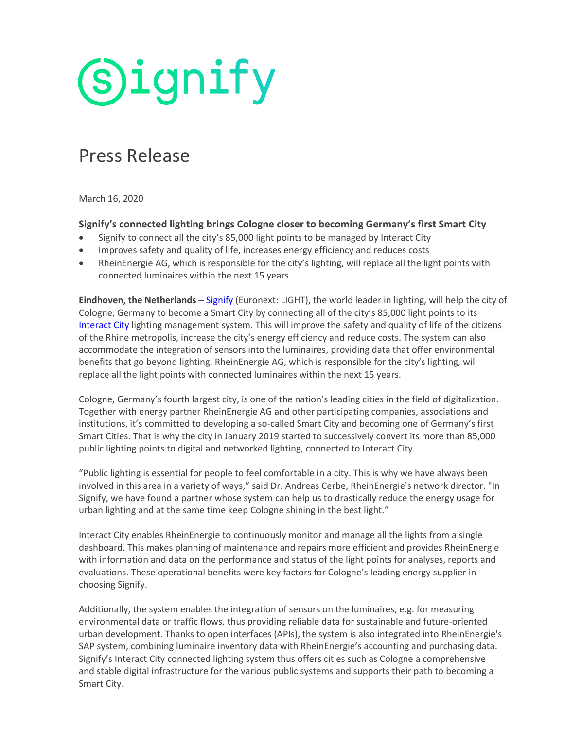# **Signify**

### Press Release

March 16, 2020

### **Signify's connected lighting brings Cologne closer to becoming Germany's first Smart City**

- Signify to connect all the city's 85,000 light points to be managed by Interact City
- Improves safety and quality of life, increases energy efficiency and reduces costs
- RheinEnergie AG, which is responsible for the city's lighting, will replace all the light points with connected luminaires within the next 15 years

**Eindhoven, the Netherlands –** [Signify](http://www.signify.com/) (Euronext: LIGHT), the world leader in lighting, will help the city of Cologne, Germany to become a Smart City by connecting all of the city's 85,000 light points to its [Interact City](https://www.interact-lighting.com/global/what-is-possible/interact-city) lighting management system. This will improve the safety and quality of life of the citizens of the Rhine metropolis, increase the city's energy efficiency and reduce costs. The system can also accommodate the integration of sensors into the luminaires, providing data that offer environmental benefits that go beyond lighting. RheinEnergie AG, which is responsible for the city's lighting, will replace all the light points with connected luminaires within the next 15 years.

Cologne, Germany's fourth largest city, is one of the nation's leading cities in the field of digitalization. Together with energy partner RheinEnergie AG and other participating companies, associations and institutions, it's committed to developing a so-called Smart City and becoming one of Germany's first Smart Cities. That is why the city in January 2019 started to successively convert its more than 85,000 public lighting points to digital and networked lighting, connected to Interact City.

"Public lighting is essential for people to feel comfortable in a city. This is why we have always been involved in this area in a variety of ways," said Dr. Andreas Cerbe, RheinEnergie's network director. "In Signify, we have found a partner whose system can help us to drastically reduce the energy usage for urban lighting and at the same time keep Cologne shining in the best light."

Interact City enables RheinEnergie to continuously monitor and manage all the lights from a single dashboard. This makes planning of maintenance and repairs more efficient and provides RheinEnergie with information and data on the performance and status of the light points for analyses, reports and evaluations. These operational benefits were key factors for Cologne's leading energy supplier in choosing Signify.

Additionally, the system enables the integration of sensors on the luminaires, e.g. for measuring environmental data or traffic flows, thus providing reliable data for sustainable and future-oriented urban development. Thanks to open interfaces (APIs), the system is also integrated into RheinEnergie's SAP system, combining luminaire inventory data with RheinEnergie's accounting and purchasing data. Signify's Interact City connected lighting system thus offers cities such as Cologne a comprehensive and stable digital infrastructure for the various public systems and supports their path to becoming a Smart City.